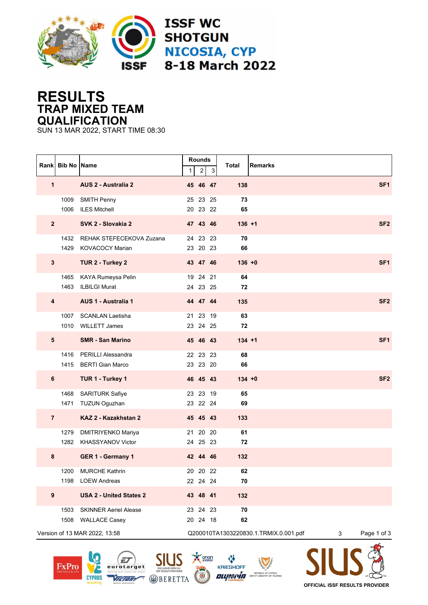

## **RESULTS TRAP MIXED TEAM QUALIFICATION**

SUN 13 MAR 2022, START TIME 08:30

|                                                                             | Rank Bib No Name |                                                         | $\mathbf{1}$ | <b>Rounds</b><br>$\sqrt{2}$ | $\mathsf 3$ | Total<br>Remarks |             |                 |
|-----------------------------------------------------------------------------|------------------|---------------------------------------------------------|--------------|-----------------------------|-------------|------------------|-------------|-----------------|
| 1                                                                           |                  | AUS 2 - Australia 2                                     |              | 45 46 47                    |             | 138              |             | SF <sub>1</sub> |
|                                                                             | 1009<br>1006     | <b>SMITH Penny</b><br><b>ILES Mitchell</b>              |              | 25 23 25<br>20 23 22        |             | 73<br>65         |             |                 |
| $\overline{2}$                                                              |                  | SVK 2 - Slovakia 2                                      |              | 47 43 46                    |             | $136 + 1$        |             | SF <sub>2</sub> |
|                                                                             | 1429             | 1432 REHAK STEFECEKOVA Zuzana<br><b>KOVACOCY Marian</b> |              | 24 23 23<br>23 20 23        |             | 70<br>66         |             |                 |
| $\mathbf{3}$                                                                |                  | TUR 2 - Turkey 2                                        |              | 43 47 46                    |             | $136 + 0$        |             | SF <sub>1</sub> |
|                                                                             | 1465<br>1463     | KAYA Rumeysa Pelin<br><b>ILBILGI Murat</b>              |              | 19 24 21<br>24 23 25        |             | 64<br>72         |             |                 |
| $\overline{\mathbf{4}}$                                                     |                  | AUS 1 - Australia 1                                     |              | 44 47 44                    |             | 135              |             | SF <sub>2</sub> |
|                                                                             |                  | 1007 SCANLAN Laetisha<br>1010 WILLETT James             |              | 21 23 19<br>23 24 25        |             | 63<br>72         |             |                 |
| $5\phantom{.0}$                                                             |                  | <b>SMR - San Marino</b>                                 |              | 45 46 43                    |             | $134 + 1$        |             | SF <sub>1</sub> |
|                                                                             | 1415             | 1416 PERILLI Alessandra<br><b>BERTI Gian Marco</b>      |              | 22 23 23<br>23 23 20        |             | 68<br>66         |             |                 |
| 6                                                                           |                  | TUR 1 - Turkey 1                                        |              | 46 45 43                    |             | $134 + 0$        |             | SF <sub>2</sub> |
|                                                                             |                  | 1468 SARITURK Safiye<br>1471 TUZUN Oguzhan              |              | 23 23 19<br>23 22 24        |             | 65<br>69         |             |                 |
| $\overline{7}$                                                              |                  | KAZ 2 - Kazakhstan 2                                    |              | 45 45 43                    |             | 133              |             |                 |
|                                                                             | 1279<br>1282     | DMITRIYENKO Mariya<br><b>KHASSYANOV Victor</b>          |              | 21 20 20<br>24 25 23        |             | 61<br>72         |             |                 |
| 8                                                                           |                  | GER 1 - Germany 1                                       |              | 42 44 46                    |             | 132              |             |                 |
|                                                                             | 1200<br>1198     | <b>MURCHE Kathrin</b><br><b>LOEW Andreas</b>            |              | 20 20 22<br>22 24 24        |             | 62<br>70         |             |                 |
| 9                                                                           |                  | <b>USA 2 - United States 2</b>                          |              | 43 48 41                    |             | 132              |             |                 |
|                                                                             | 1503             | <b>SKINNER Aeriel Alease</b><br>1508 WALLACE Casey      |              | 23 24 23<br>20 24 18        |             | 70<br>62         |             |                 |
| Version of 13 MAR 2022, 13:58<br>Q200010TA1303220830.1.TRMIX.0.001.pdf<br>3 |                  |                                                         |              |                             |             |                  | Page 1 of 3 |                 |







 $\mathsf{S}$ 



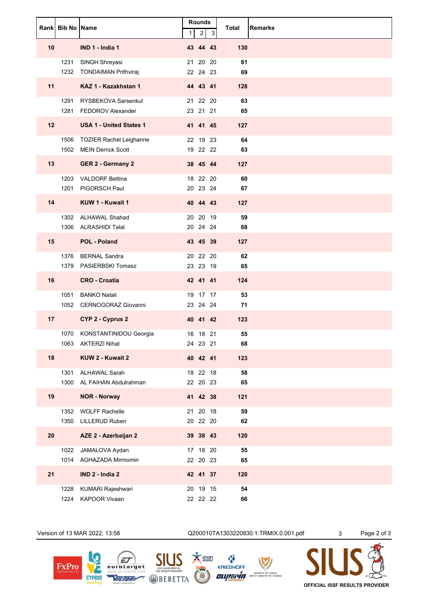|    | Rank Bib No Name |                                                    | $\mathbf{1}$ | <b>Rounds</b><br>$\overline{\mathbf{c}}$ | 3 | <b>Total</b> | <b>Remarks</b> |
|----|------------------|----------------------------------------------------|--------------|------------------------------------------|---|--------------|----------------|
| 10 |                  | IND 1 - India 1                                    |              | 43 44 43                                 |   | 130          |                |
|    | 1231             | SINGH Shreyasi<br>1232 TONDAIMAN Prithviraj        |              | 21 20 20<br>22 24 23                     |   | 61<br>69     |                |
| 11 |                  | KAZ 1 - Kazakhstan 1                               |              | 44 43 41                                 |   | 128          |                |
|    | 1281             | 1291 RYSBEKOVA Sarsenkul<br>FEDOROV Alexander      |              | 21 22 20<br>23 21 21                     |   | 63<br>65     |                |
| 12 |                  | <b>USA 1 - United States 1</b>                     |              | 41 41 45                                 |   | 127          |                |
|    | 1506             | TOZIER Rachel Leighanne<br>1502 MEIN Derrick Scott |              | 22 19 23<br>19 22 22                     |   | 64<br>63     |                |
| 13 |                  | <b>GER 2 - Germany 2</b>                           |              | 38 45 44                                 |   | 127          |                |
|    | 1201             | 1203 VALDORF Bettina<br>PIGORSCH Paul              |              | 18 22 20<br>20 23 24                     |   | 60<br>67     |                |
| 14 |                  | KUW 1 - Kuwait 1                                   |              | 40 44 43                                 |   | 127          |                |
|    |                  | 1302 ALHAWAL Shahad<br>1306 ALRASHIDI Talal        |              | 20 20 19<br>20 24 24                     |   | 59<br>68     |                |
| 15 |                  | <b>POL - Poland</b>                                |              | 43 45 39                                 |   | 127          |                |
|    |                  | 1376 BERNAL Sandra<br>1379 PASIERBSKI Tomasz       |              | 20 22 20<br>23 23 19                     |   | 62<br>65     |                |
| 16 |                  | <b>CRO - Croatia</b>                               |              | 42 41 41                                 |   | 124          |                |
|    | 1051             | <b>BANKO Natali</b><br>1052 CERNOGORAZ Giovanni    |              | 19 17 17<br>23 24 24                     |   | 53<br>71     |                |
| 17 |                  | CYP 2 - Cyprus 2                                   |              | 40 41 42                                 |   | 123          |                |
|    |                  | 1070 KONSTANTINIDOU Georgia                        |              | 16 18 21                                 |   | 55           |                |
| 18 |                  | 1063 AKTERZI Nihat<br>KUW 2 - Kuwait 2             |              | 24 23 21<br>40 42 41                     |   | 68<br>123    |                |
|    |                  | 1301 ALHAWAL Sarah                                 |              | 18 22 18                                 |   | 58           |                |
|    | 1300             | AL FAIHAN Abdulrahman                              |              | 22 20 23                                 |   | 65           |                |
| 19 |                  | <b>NOR - Norway</b>                                |              | 41 42 38                                 |   | 121          |                |
|    | 1350             | 1352 WOLFF Rachelle<br><b>LILLERUD Ruben</b>       |              | 21 20 18<br>20 22 20                     |   | 59<br>62     |                |
| 20 |                  | AZE 2 - Azerbaijan 2                               |              | 39 38 43                                 |   | 120          |                |
|    |                  | 1022 JAMALOVA Aydan<br>1014 AGHAZADA Mirmomin      |              | 17 18 20<br>22 20 23                     |   | 55<br>65     |                |
| 21 |                  | IND 2 - India 2                                    |              | 42 41 37                                 |   | 120          |                |
|    | 1228<br>1224     | KUMARI Rajeshwari<br>KAPOOR Vivaan                 |              | 20 19 15<br>22 22 22                     |   | 54<br>66     |                |



**CYPRUS** 

**OFFICIAL ISSF RESULTS PROVIDER**